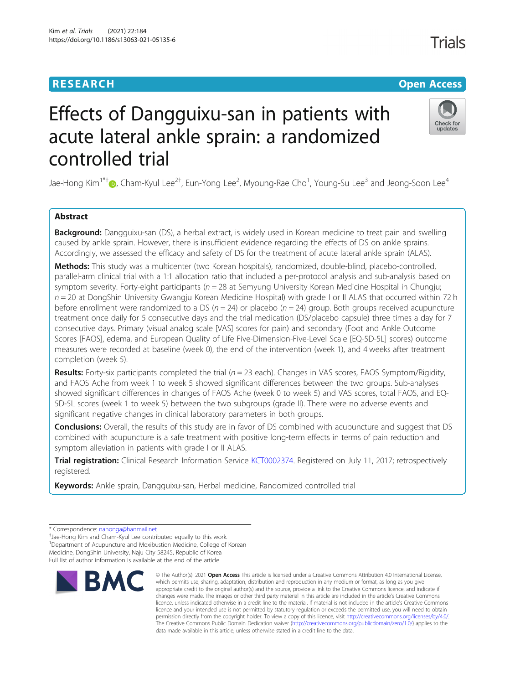# **RESEARCH CHE Open Access**

**Trials** 

# Check for updates

# Effects of Dangguixu-san in patients with acute lateral ankle sprain: a randomized controlled trial

Jae-Hong Kim $^{1*}$ f $\bullet$ [,](http://orcid.org/0000-0002-4806-3401) Cham-Kyul Lee $^{2\dagger}$ , Eun-Yong Lee $^2$ , Myoung-Rae Cho $^1$ , Young-Su Lee $^3$  and Jeong-Soon Lee $^4$ 

# Abstract

Background: Dangguixu-san (DS), a herbal extract, is widely used in Korean medicine to treat pain and swelling caused by ankle sprain. However, there is insufficient evidence regarding the effects of DS on ankle sprains. Accordingly, we assessed the efficacy and safety of DS for the treatment of acute lateral ankle sprain (ALAS).

Methods: This study was a multicenter (two Korean hospitals), randomized, double-blind, placebo-controlled, parallel-arm clinical trial with a 1:1 allocation ratio that included a per-protocol analysis and sub-analysis based on symptom severity. Forty-eight participants ( $n = 28$  at Semyung University Korean Medicine Hospital in Chungju;  $n = 20$  at DongShin University Gwangju Korean Medicine Hospital) with grade I or II ALAS that occurred within 72 h before enrollment were randomized to a DS ( $n = 24$ ) or placebo ( $n = 24$ ) group. Both groups received acupuncture treatment once daily for 5 consecutive days and the trial medication (DS/placebo capsule) three times a day for 7 consecutive days. Primary (visual analog scale [VAS] scores for pain) and secondary (Foot and Ankle Outcome Scores [FAOS], edema, and European Quality of Life Five-Dimension-Five-Level Scale [EQ-5D-5L] scores) outcome measures were recorded at baseline (week 0), the end of the intervention (week 1), and 4 weeks after treatment completion (week 5).

Results: Forty-six participants completed the trial ( $n = 23$  each). Changes in VAS scores, FAOS Symptom/Rigidity, and FAOS Ache from week 1 to week 5 showed significant differences between the two groups. Sub-analyses showed significant differences in changes of FAOS Ache (week 0 to week 5) and VAS scores, total FAOS, and EQ-5D-5L scores (week 1 to week 5) between the two subgroups (grade II). There were no adverse events and significant negative changes in clinical laboratory parameters in both groups.

**Conclusions:** Overall, the results of this study are in favor of DS combined with acupuncture and suggest that DS combined with acupuncture is a safe treatment with positive long-term effects in terms of pain reduction and symptom alleviation in patients with grade I or II ALAS.

Trial registration: Clinical Research Information Service [KCT0002374](https://cris.nih.go.kr/cris/search/search_result_st01_kren.jsp?seq=14166&sLeft=2<ype=my&rtype=my). Registered on July 11, 2017; retrospectively registered.

Keywords: Ankle sprain, Dangguixu-san, Herbal medicine, Randomized controlled trial

<sup>+</sup>Jae-Hong Kim and Cham-Kyul Lee contributed equally to this work. <sup>1</sup>Department of Acupuncture and Moxibustion Medicine, College of Korean Medicine, DongShin University, Naju City 58245, Republic of Korea

Full list of author information is available at the end of the article



<sup>©</sup> The Author(s), 2021 **Open Access** This article is licensed under a Creative Commons Attribution 4.0 International License, which permits use, sharing, adaptation, distribution and reproduction in any medium or format, as long as you give appropriate credit to the original author(s) and the source, provide a link to the Creative Commons licence, and indicate if changes were made. The images or other third party material in this article are included in the article's Creative Commons licence, unless indicated otherwise in a credit line to the material. If material is not included in the article's Creative Commons licence and your intended use is not permitted by statutory regulation or exceeds the permitted use, you will need to obtain permission directly from the copyright holder. To view a copy of this licence, visit [http://creativecommons.org/licenses/by/4.0/.](http://creativecommons.org/licenses/by/4.0/) The Creative Commons Public Domain Dedication waiver [\(http://creativecommons.org/publicdomain/zero/1.0/](http://creativecommons.org/publicdomain/zero/1.0/)) applies to the data made available in this article, unless otherwise stated in a credit line to the data.

<sup>\*</sup> Correspondence: [nahonga@hanmail.net](mailto:nahonga@hanmail.net) †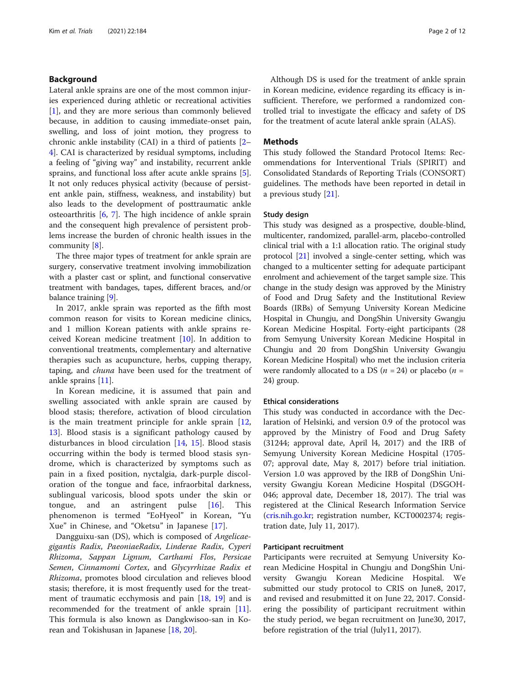# Background

Lateral ankle sprains are one of the most common injuries experienced during athletic or recreational activities [[1\]](#page-11-0), and they are more serious than commonly believed because, in addition to causing immediate-onset pain, swelling, and loss of joint motion, they progress to chronic ankle instability (CAI) in a third of patients [[2](#page-11-0)– [4\]](#page-11-0). CAI is characterized by residual symptoms, including a feeling of "giving way" and instability, recurrent ankle sprains, and functional loss after acute ankle sprains [\[5](#page-11-0)]. It not only reduces physical activity (because of persistent ankle pain, stiffness, weakness, and instability) but also leads to the development of posttraumatic ankle osteoarthritis [[6,](#page-11-0) [7\]](#page-11-0). The high incidence of ankle sprain and the consequent high prevalence of persistent problems increase the burden of chronic health issues in the community [[8](#page-11-0)].

The three major types of treatment for ankle sprain are surgery, conservative treatment involving immobilization with a plaster cast or splint, and functional conservative treatment with bandages, tapes, different braces, and/or balance training [\[9](#page-11-0)].

In 2017, ankle sprain was reported as the fifth most common reason for visits to Korean medicine clinics, and 1 million Korean patients with ankle sprains received Korean medicine treatment [[10\]](#page-11-0). In addition to conventional treatments, complementary and alternative therapies such as acupuncture, herbs, cupping therapy, taping, and chuna have been used for the treatment of ankle sprains [\[11](#page-11-0)].

In Korean medicine, it is assumed that pain and swelling associated with ankle sprain are caused by blood stasis; therefore, activation of blood circulation is the main treatment principle for ankle sprain [\[12](#page-11-0), [13\]](#page-11-0). Blood stasis is a significant pathology caused by disturbances in blood circulation [[14,](#page-11-0) [15\]](#page-11-0). Blood stasis occurring within the body is termed blood stasis syndrome, which is characterized by symptoms such as pain in a fixed position, nyctalgia, dark-purple discoloration of the tongue and face, infraorbital darkness, sublingual varicosis, blood spots under the skin or tongue, and an astringent pulse [[16\]](#page-11-0). This phenomenon is termed "EoHyeol" in Korean, "Yu Xue" in Chinese, and "Oketsu" in Japanese [[17\]](#page-11-0).

Dangguixu-san (DS), which is composed of Angelicaegigantis Radix, PaeoniaeRadix, Linderae Radix, Cyperi Rhizoma, Sappan Lignum, Carthami Flos, Persicae Semen, Cinnamomi Cortex, and Glycyrrhizae Radix et Rhizoma, promotes blood circulation and relieves blood stasis; therefore, it is most frequently used for the treatment of traumatic ecchymosis and pain [[18,](#page-11-0) [19\]](#page-11-0) and is recommended for the treatment of ankle sprain [\[11](#page-11-0)]. This formula is also known as Dangkwisoo-san in Korean and Tokishusan in Japanese [[18](#page-11-0), [20](#page-11-0)].

Although DS is used for the treatment of ankle sprain in Korean medicine, evidence regarding its efficacy is insufficient. Therefore, we performed a randomized controlled trial to investigate the efficacy and safety of DS for the treatment of acute lateral ankle sprain (ALAS).

# **Methods**

This study followed the Standard Protocol Items: Recommendations for Interventional Trials (SPIRIT) and Consolidated Standards of Reporting Trials (CONSORT) guidelines. The methods have been reported in detail in a previous study [[21](#page-11-0)].

# Study design

This study was designed as a prospective, double-blind, multicenter, randomized, parallel-arm, placebo-controlled clinical trial with a 1:1 allocation ratio. The original study protocol [\[21](#page-11-0)] involved a single-center setting, which was changed to a multicenter setting for adequate participant enrolment and achievement of the target sample size. This change in the study design was approved by the Ministry of Food and Drug Safety and the Institutional Review Boards (IRBs) of Semyung University Korean Medicine Hospital in Chungju, and DongShin University Gwangju Korean Medicine Hospital. Forty-eight participants (28 from Semyung University Korean Medicine Hospital in Chungju and 20 from DongShin University Gwangju Korean Medicine Hospital) who met the inclusion criteria were randomly allocated to a DS ( $n = 24$ ) or placebo ( $n =$ 24) group.

# Ethical considerations

This study was conducted in accordance with the Declaration of Helsinki, and version 0.9 of the protocol was approved by the Ministry of Food and Drug Safety (31244; approval date, April l4, 2017) and the IRB of Semyung University Korean Medicine Hospital (1705- 07; approval date, May 8, 2017) before trial initiation. Version 1.0 was approved by the IRB of DongShin University Gwangju Korean Medicine Hospital (DSGOH-046; approval date, December 18, 2017). The trial was registered at the Clinical Research Information Service ([cris.nih.go.kr](http://cris.nih.go.kr); registration number, KCT0002374; registration date, July 11, 2017).

# Participant recruitment

Participants were recruited at Semyung University Korean Medicine Hospital in Chungju and DongShin University Gwangju Korean Medicine Hospital. We submitted our study protocol to CRIS on June8, 2017, and revised and resubmitted it on June 22, 2017. Considering the possibility of participant recruitment within the study period, we began recruitment on June30, 2017, before registration of the trial (July11, 2017).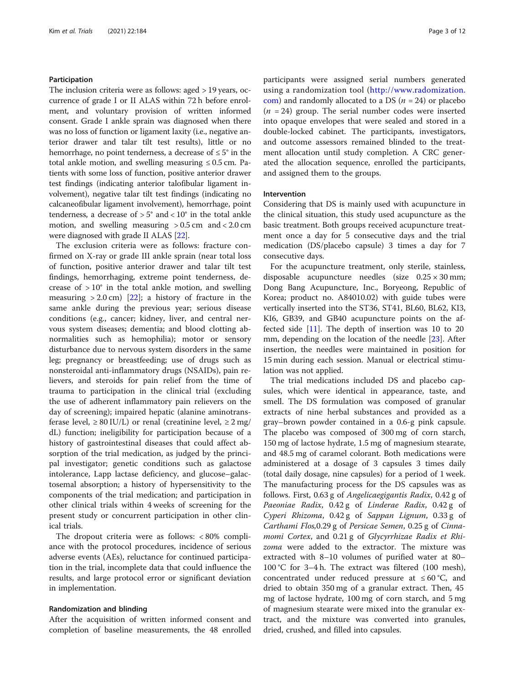# Participation

The inclusion criteria were as follows: aged > 19 years, occurrence of grade I or II ALAS within 72 h before enrolment, and voluntary provision of written informed consent. Grade I ankle sprain was diagnosed when there was no loss of function or ligament laxity (i.e., negative anterior drawer and talar tilt test results), little or no hemorrhage, no point tenderness, a decrease of  $\leq 5^{\circ}$  in the total ankle motion, and swelling measuring  $\leq 0.5$  cm. Patients with some loss of function, positive anterior drawer test findings (indicating anterior talofibular ligament involvement), negative talar tilt test findings (indicating no calcaneofibular ligament involvement), hemorrhage, point tenderness, a decrease of  $> 5^{\circ}$  and  $< 10^{\circ}$  in the total ankle motion, and swelling measuring  $> 0.5$  cm and  $< 2.0$  cm were diagnosed with grade II ALAS [[22](#page-11-0)].

The exclusion criteria were as follows: fracture confirmed on X-ray or grade III ankle sprain (near total loss of function, positive anterior drawer and talar tilt test findings, hemorrhaging, extreme point tenderness, decrease of  $>10^{\circ}$  in the total ankle motion, and swelling measuring  $> 2.0$  cm) [[22\]](#page-11-0); a history of fracture in the same ankle during the previous year; serious disease conditions (e.g., cancer; kidney, liver, and central nervous system diseases; dementia; and blood clotting abnormalities such as hemophilia); motor or sensory disturbance due to nervous system disorders in the same leg; pregnancy or breastfeeding; use of drugs such as nonsteroidal anti-inflammatory drugs (NSAIDs), pain relievers, and steroids for pain relief from the time of trauma to participation in the clinical trial (excluding the use of adherent inflammatory pain relievers on the day of screening); impaired hepatic (alanine aminotransferase level,  $\geq 80$  IU/L) or renal (creatinine level,  $\geq 2$  mg/ dL) function; ineligibility for participation because of a history of gastrointestinal diseases that could affect absorption of the trial medication, as judged by the principal investigator; genetic conditions such as galactose intolerance, Lapp lactase deficiency, and glucose–galactosemal absorption; a history of hypersensitivity to the components of the trial medication; and participation in other clinical trials within 4 weeks of screening for the present study or concurrent participation in other clinical trials.

The dropout criteria were as follows: < 80% compliance with the protocol procedures, incidence of serious adverse events (AEs), reluctance for continued participation in the trial, incomplete data that could influence the results, and large protocol error or significant deviation in implementation.

# Randomization and blinding

After the acquisition of written informed consent and completion of baseline measurements, the 48 enrolled participants were assigned serial numbers generated using a randomization tool ([http://www.radomization.](http://www.radomization.com) [com](http://www.radomization.com)) and randomly allocated to a DS ( $n = 24$ ) or placebo  $(n = 24)$  group. The serial number codes were inserted into opaque envelopes that were sealed and stored in a double-locked cabinet. The participants, investigators, and outcome assessors remained blinded to the treatment allocation until study completion. A CRC generated the allocation sequence, enrolled the participants, and assigned them to the groups.

# Intervention

Considering that DS is mainly used with acupuncture in the clinical situation, this study used acupuncture as the basic treatment. Both groups received acupuncture treatment once a day for 5 consecutive days and the trial medication (DS/placebo capsule) 3 times a day for 7 consecutive days.

For the acupuncture treatment, only sterile, stainless, disposable acupuncture needles (size  $0.25 \times 30$  mm; Dong Bang Acupuncture, Inc., Boryeong, Republic of Korea; product no. A84010.02) with guide tubes were vertically inserted into the ST36, ST41, BL60, BL62, KI3, KI6, GB39, and GB40 acupuncture points on the affected side [[11](#page-11-0)]. The depth of insertion was 10 to 20 mm, depending on the location of the needle [[23\]](#page-11-0). After insertion, the needles were maintained in position for 15 min during each session. Manual or electrical stimulation was not applied.

The trial medications included DS and placebo capsules, which were identical in appearance, taste, and smell. The DS formulation was composed of granular extracts of nine herbal substances and provided as a gray–brown powder contained in a 0.6-g pink capsule. The placebo was composed of 300 mg of corn starch, 150 mg of lactose hydrate, 1.5 mg of magnesium stearate, and 48.5 mg of caramel colorant. Both medications were administered at a dosage of 3 capsules 3 times daily (total daily dosage, nine capsules) for a period of 1 week. The manufacturing process for the DS capsules was as follows. First, 0.63 g of Angelicaegigantis Radix, 0.42 g of Paeoniae Radix, 0.42 g of Linderae Radix, 0.42 g of Cyperi Rhizoma, 0.42 g of Sappan Lignum, 0.33 g of Carthami Flos,0.29 g of Persicae Semen, 0.25 g of Cinnamomi Cortex, and 0.21 g of Glycyrrhizae Radix et Rhizoma were added to the extractor. The mixture was extracted with 8–10 volumes of purified water at 80– 100 °C for 3–4 h. The extract was filtered (100 mesh), concentrated under reduced pressure at  $\leq 60^{\circ}$ C, and dried to obtain 350 mg of a granular extract. Then, 45 mg of lactose hydrate, 100 mg of corn starch, and 5 mg of magnesium stearate were mixed into the granular extract, and the mixture was converted into granules, dried, crushed, and filled into capsules.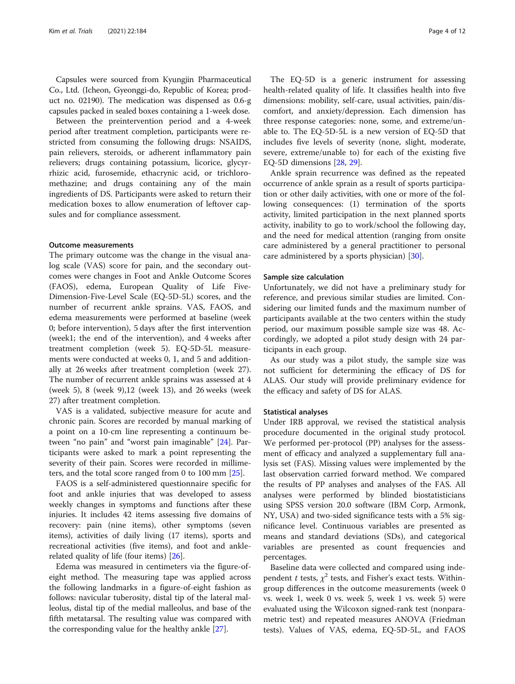Capsules were sourced from Kyungjin Pharmaceutical Co., Ltd. (Icheon, Gyeonggi-do, Republic of Korea; product no. 02190). The medication was dispensed as 0.6-g capsules packed in sealed boxes containing a 1-week dose.

Between the preintervention period and a 4-week period after treatment completion, participants were restricted from consuming the following drugs: NSAIDS, pain relievers, steroids, or adherent inflammatory pain relievers; drugs containing potassium, licorice, glycyrrhizic acid, furosemide, ethacrynic acid, or trichloromethazine; and drugs containing any of the main ingredients of DS. Participants were asked to return their medication boxes to allow enumeration of leftover capsules and for compliance assessment.

# Outcome measurements

The primary outcome was the change in the visual analog scale (VAS) score for pain, and the secondary outcomes were changes in Foot and Ankle Outcome Scores (FAOS), edema, European Quality of Life Five-Dimension-Five-Level Scale (EQ-5D-5L) scores, and the number of recurrent ankle sprains. VAS, FAOS, and edema measurements were performed at baseline (week 0; before intervention), 5 days after the first intervention (week1; the end of the intervention), and 4 weeks after treatment completion (week 5). EQ-5D-5L measurements were conducted at weeks 0, 1, and 5 and additionally at 26 weeks after treatment completion (week 27). The number of recurrent ankle sprains was assessed at 4 (week 5), 8 (week 9),12 (week 13), and 26 weeks (week 27) after treatment completion.

VAS is a validated, subjective measure for acute and chronic pain. Scores are recorded by manual marking of a point on a 10-cm line representing a continuum between "no pain" and "worst pain imaginable" [\[24](#page-11-0)]. Participants were asked to mark a point representing the severity of their pain. Scores were recorded in millimeters, and the total score ranged from 0 to 100 mm [\[25\]](#page-11-0).

FAOS is a self-administered questionnaire specific for foot and ankle injuries that was developed to assess weekly changes in symptoms and functions after these injuries. It includes 42 items assessing five domains of recovery: pain (nine items), other symptoms (seven items), activities of daily living (17 items), sports and recreational activities (five items), and foot and anklerelated quality of life (four items) [[26\]](#page-11-0).

Edema was measured in centimeters via the figure-ofeight method. The measuring tape was applied across the following landmarks in a figure-of-eight fashion as follows: navicular tuberosity, distal tip of the lateral malleolus, distal tip of the medial malleolus, and base of the fifth metatarsal. The resulting value was compared with the corresponding value for the healthy ankle [[27\]](#page-11-0).

The EQ-5D is a generic instrument for assessing health-related quality of life. It classifies health into five dimensions: mobility, self-care, usual activities, pain/discomfort, and anxiety/depression. Each dimension has three response categories: none, some, and extreme/unable to. The EQ-5D-5L is a new version of EQ-5D that includes five levels of severity (none, slight, moderate, severe, extreme/unable to) for each of the existing five EQ-5D dimensions [\[28,](#page-11-0) [29\]](#page-11-0).

Ankle sprain recurrence was defined as the repeated occurrence of ankle sprain as a result of sports participation or other daily activities, with one or more of the following consequences: (1) termination of the sports activity, limited participation in the next planned sports activity, inability to go to work/school the following day, and the need for medical attention (ranging from onsite care administered by a general practitioner to personal care administered by a sports physician) [\[30](#page-11-0)].

# Sample size calculation

Unfortunately, we did not have a preliminary study for reference, and previous similar studies are limited. Considering our limited funds and the maximum number of participants available at the two centers within the study period, our maximum possible sample size was 48. Accordingly, we adopted a pilot study design with 24 participants in each group.

As our study was a pilot study, the sample size was not sufficient for determining the efficacy of DS for ALAS. Our study will provide preliminary evidence for the efficacy and safety of DS for ALAS.

# Statistical analyses

Under IRB approval, we revised the statistical analysis procedure documented in the original study protocol. We performed per-protocol (PP) analyses for the assessment of efficacy and analyzed a supplementary full analysis set (FAS). Missing values were implemented by the last observation carried forward method. We compared the results of PP analyses and analyses of the FAS. All analyses were performed by blinded biostatisticians using SPSS version 20.0 software (IBM Corp, Armonk, NY, USA) and two-sided significance tests with a 5% significance level. Continuous variables are presented as means and standard deviations (SDs), and categorical variables are presented as count frequencies and percentages.

Baseline data were collected and compared using independent t tests,  $\chi^2$  tests, and Fisher's exact tests. Withingroup differences in the outcome measurements (week 0 vs. week 1, week 0 vs. week 5, week 1 vs. week 5) were evaluated using the Wilcoxon signed-rank test (nonparametric test) and repeated measures ANOVA (Friedman tests). Values of VAS, edema, EQ-5D-5L, and FAOS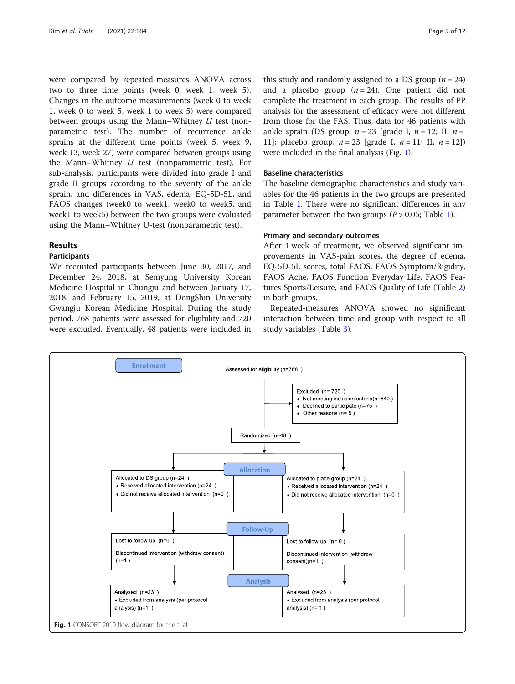were compared by repeated-measures ANOVA across two to three time points (week 0, week 1, week 5). Changes in the outcome measurements (week 0 to week 1, week 0 to week 5, week 1 to week 5) were compared between groups using the Mann–Whitney  $U$  test (nonparametric test). The number of recurrence ankle sprains at the different time points (week 5, week 9, week 13, week 27) were compared between groups using the Mann–Whitney  $U$  test (nonparametric test). For sub-analysis, participants were divided into grade I and grade II groups according to the severity of the ankle sprain, and differences in VAS, edema, EQ-5D-5L, and FAOS changes (week0 to week1, week0 to week5, and week1 to week5) between the two groups were evaluated using the Mann–Whitney U-test (nonparametric test).

# Results

# Participants

We recruited participants between June 30, 2017, and December 24, 2018, at Semyung University Korean Medicine Hospital in Chungju and between January 17, 2018, and February 15, 2019, at DongShin University Gwangju Korean Medicine Hospital. During the study period, 768 patients were assessed for eligibility and 720 were excluded. Eventually, 48 patients were included in

this study and randomly assigned to a DS group  $(n = 24)$ and a placebo group  $(n = 24)$ . One patient did not complete the treatment in each group. The results of PP analysis for the assessment of efficacy were not different from those for the FAS. Thus, data for 46 patients with ankle sprain (DS group,  $n = 23$  [grade I,  $n = 12$ ; II,  $n =$ 11]; placebo group,  $n = 23$  [grade I,  $n = 11$ ; II,  $n = 12$ ]) were included in the final analysis (Fig. 1).

# Baseline characteristics

The baseline demographic characteristics and study variables for the 46 patients in the two groups are presented in Table [1](#page-5-0). There were no significant differences in any parameter between the two groups  $(P > 0.05$ ; Table [1](#page-5-0)).

# Primary and secondary outcomes

After 1 week of treatment, we observed significant improvements in VAS-pain scores, the degree of edema, EQ-5D-5L scores, total FAOS, FAOS Symptom/Rigidity, FAOS Ache, FAOS Function Everyday Life, FAOS Features Sports/Leisure, and FAOS Quality of Life (Table [2](#page-5-0)) in both groups.

Repeated-measures ANOVA showed no significant interaction between time and group with respect to all study variables (Table [3\)](#page-6-0).

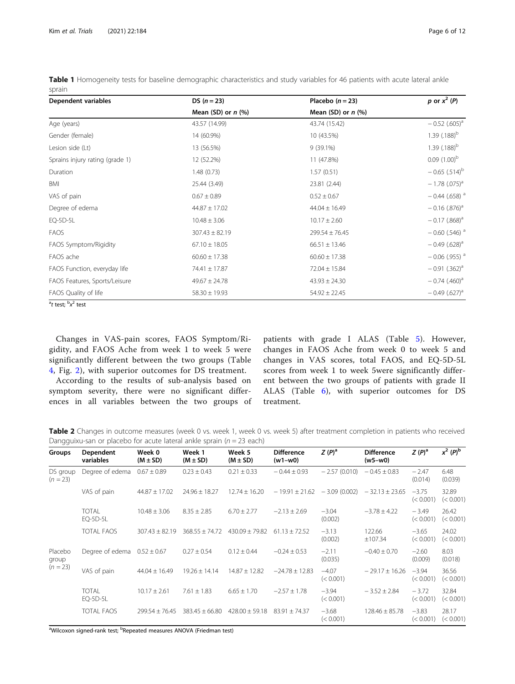| Dependent variables             | DS $(n = 23)$        | Placebo $(n=23)$     | p or $x^2$ (P)              |
|---------------------------------|----------------------|----------------------|-----------------------------|
|                                 | Mean (SD) or $n$ (%) | Mean (SD) or $n$ (%) |                             |
| Age (years)                     | 43.57 (14.99)        | 43.74 (15.42)        | $-0.52$ (.605) <sup>a</sup> |
| Gender (female)                 | 14 (60.9%)           | 10 (43.5%)           | 1.39 $(.188)^{b}$           |
| Lesion side (Lt)                | 13 (56.5%)           | $9(39.1\%)$          | 1.39 $(.188)^{b}$           |
| Sprains injury rating (grade 1) | 12 (52.2%)           | 11 (47.8%)           | $0.09(1.00)^{b}$            |
| Duration                        | 1.48(0.73)           | 1.57(0.51)           | $-0.65$ (.514) <sup>b</sup> |
| BMI                             | 25.44 (3.49)         | 23.81 (2.44)         | $-1.78$ (.075) <sup>a</sup> |
| VAS of pain                     | $0.67 \pm 0.89$      | $0.52 \pm 0.67$      | $-0.44$ (.658) <sup>a</sup> |
| Degree of edema                 | $44.87 \pm 17.02$    | $44.04 \pm 16.49$    | $-0.16$ (.876) <sup>a</sup> |
| EQ-5D-5L                        | $10.48 \pm 3.06$     | $10.17 \pm 2.60$     | $-0.17$ (.868) <sup>a</sup> |
| <b>FAOS</b>                     | $307.43 \pm 82.19$   | $299.54 \pm 76.45$   | $-0.60$ (.546) <sup>a</sup> |
| FAOS Symptom/Rigidity           | $67.10 \pm 18.05$    | $66.51 \pm 13.46$    | $-0.49$ (.628) <sup>a</sup> |
| FAOS ache                       | $60.60 \pm 17.38$    | $60.60 \pm 17.38$    | $-0.06$ (.955) <sup>a</sup> |
| FAOS Function, everyday life    | 74.41 ± 17.87        | $72.04 \pm 15.84$    | $-0.91$ $(.362)^a$          |
| FAOS Features, Sports/Leisure   | $49.67 \pm 24.78$    | $43.93 \pm 24.30$    | $-0.74$ (.460) <sup>a</sup> |
| FAOS Quality of life            | $58.30 \pm 19.93$    | $54.92 \pm 22.45$    | $-0.49(.627)^{a}$           |
| $a \cdot b$                     |                      |                      |                             |

<span id="page-5-0"></span>Table 1 Homogeneity tests for baseline demographic characteristics and study variables for 46 patients with acute lateral ankle sprain

Changes in VAS-pain scores, FAOS Symptom/Rigidity, and FAOS Ache from week 1 to week 5 were significantly different between the two groups (Table [4,](#page-6-0) Fig. [2](#page-7-0)), with superior outcomes for DS treatment.

According to the results of sub-analysis based on symptom severity, there were no significant differences in all variables between the two groups of patients with grade I ALAS (Table [5\)](#page-8-0). However, changes in FAOS Ache from week 0 to week 5 and changes in VAS scores, total FAOS, and EQ-5D-5L scores from week 1 to week 5were significantly different between the two groups of patients with grade II ALAS (Table [6\)](#page-9-0), with superior outcomes for DS treatment.

Table 2 Changes in outcome measures (week 0 vs. week 1, week 0 vs. week 5) after treatment completion in patients who received Dangguixu-san or placebo for acute lateral ankle sprain ( $n = 23$  each)

| Groups                 | Dependent<br>variables   | Week 0<br>$(M \pm SD)$ | Week 1<br>$(M \pm SD)$ | Week 5<br>$(M \pm SD)$ | <b>Difference</b><br>$(w1-w0)$ | $Z(P)^a$             | <b>Difference</b><br>$(w5-w0)$ | $Z(P)^a$             | $x^2 (P)^b$        |
|------------------------|--------------------------|------------------------|------------------------|------------------------|--------------------------------|----------------------|--------------------------------|----------------------|--------------------|
| DS group<br>$(n = 23)$ | Degree of edema          | $0.67 \pm 0.89$        | $0.23 \pm 0.43$        | $0.21 \pm 0.33$        | $-0.44 \pm 0.93$               | $-2.57(0.010)$       | $-0.45 \pm 0.83$               | $-2.47$<br>(0.014)   | 6.48<br>(0.039)    |
|                        | VAS of pain              | $44.87 \pm 17.02$      | $24.96 \pm 18.27$      | $12.74 \pm 16.20$      | $-19.91 \pm 21.62$             | $-3.09(0.002)$       | $-32.13 \pm 23.65$             | $-3.75$<br>(< 0.001) | 32.89<br>(< 0.001) |
|                        | <b>TOTAL</b><br>EQ-5D-5L | $10.48 \pm 3.06$       | $8.35 \pm 2.85$        | $6.70 \pm 2.77$        | $-2.13 \pm 2.69$               | $-3.04$<br>(0.002)   | $-3.78 \pm 4.22$               | $-3.49$<br>(< 0.001) | 26.42<br>(< 0.001) |
|                        | <b>TOTAL FAOS</b>        | $307.43 \pm 82.19$     | $368.55 \pm 74.72$     | $430.09 \pm 79.82$     | $61.13 \pm 72.52$              | $-3.13$<br>(0.002)   | 122.66<br>±107.34              | $-3.65$<br>(< 0.001) | 24.02<br>(< 0.001) |
| Placebo<br>group       | Degree of edema          | $0.52 \pm 0.67$        | $0.27 \pm 0.54$        | $0.12 \pm 0.44$        | $-0.24 \pm 0.53$               | $-2.11$<br>(0.035)   | $-0.40 \pm 0.70$               | $-2.60$<br>(0.009)   | 8.03<br>(0.018)    |
| $(n = 23)$             | VAS of pain              | $44.04 \pm 16.49$      | $19.26 \pm 14.14$      | $14.87 \pm 12.82$      | $-24.78 \pm 12.83$             | $-4.07$<br>(< 0.001) | $-29.17 \pm 16.26$             | $-3.94$<br>(< 0.001) | 36.56<br>(< 0.001) |
|                        | <b>TOTAL</b><br>EQ-5D-5L | $10.17 \pm 2.61$       | $7.61 \pm 1.83$        | $6.65 \pm 1.70$        | $-2.57 \pm 1.78$               | $-3.94$<br>(< 0.001) | $-3.52 \pm 2.84$               | $-3.72$<br>(< 0.001) | 32.84<br>(< 0.001) |
|                        | <b>TOTAL FAOS</b>        | $299.54 \pm 76.45$     | $383.45 \pm 66.80$     | $428.00 \pm 59.18$     | $83.91 \pm 74.37$              | $-3.68$<br>(< 0.001) | $128.46 \pm 85.78$             | $-3.83$<br>(< 0.001) | 28.17<br>(< 0.001) |

<sup>a</sup>Wilcoxon signed-rank test; <sup>b</sup>Repeated measures ANOVA (Friedman test)

<sup>&</sup>lt;sup>a</sup>t test; <sup>b</sup>x<sup>2</sup> test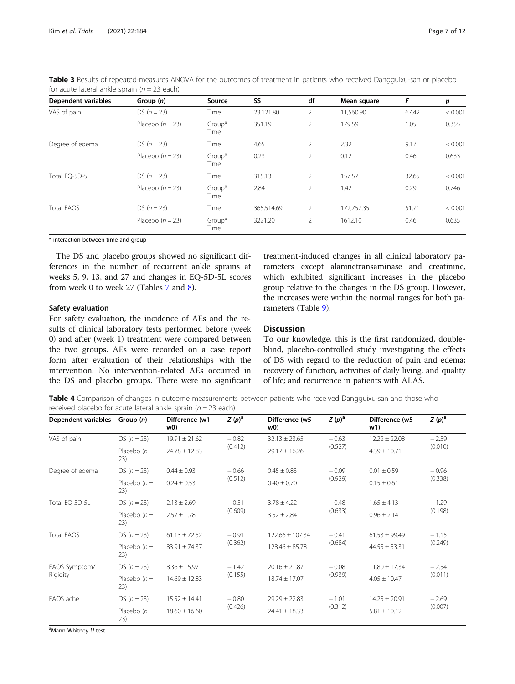| For acate fateral armse spraint $n = 23$ cacity |                    |                |            |                |             |       |         |
|-------------------------------------------------|--------------------|----------------|------------|----------------|-------------|-------|---------|
| <b>Dependent variables</b>                      | Group $(n)$        | Source         | SS         | df             | Mean square | F     | p       |
| VAS of pain                                     | $DS (n = 23)$      | Time           | 23,121.80  | 2              | 11,560.90   | 67.42 | < 0.001 |
|                                                 | Placebo $(n = 23)$ | Group*<br>Time | 351.19     | $\overline{2}$ | 179.59      | 1.05  | 0.355   |
| Degree of edema                                 | DS $(n = 23)$      | Time           | 4.65       | $\overline{2}$ | 2.32        | 9.17  | < 0.001 |
|                                                 | Placebo $(n = 23)$ | Group*<br>Time | 0.23       | $\overline{2}$ | 0.12        | 0.46  | 0.633   |
| Total EQ-5D-5L                                  | DS $(n = 23)$      | Time           | 315.13     | $\overline{2}$ | 157.57      | 32.65 | < 0.001 |
|                                                 | Placebo $(n = 23)$ | Group*<br>Time | 2.84       | $\overline{2}$ | 1.42        | 0.29  | 0.746   |
| <b>Total FAOS</b>                               | $DS (n = 23)$      | Time           | 365,514.69 | 2              | 172,757.35  | 51.71 | < 0.001 |
|                                                 | Placebo $(n = 23)$ | Group*<br>Time | 3221.20    | $\overline{2}$ | 1612.10     | 0.46  | 0.635   |

<span id="page-6-0"></span>Table 3 Results of repeated-measures ANOVA for the outcomes of treatment in patients who received Dangguixu-san or placebo for acute lateral ankle sprain  $(n - 23$  each)

\* interaction between time and group

The DS and placebo groups showed no significant differences in the number of recurrent ankle sprains at weeks 5, 9, 13, and 27 and changes in EQ-5D-5L scores from week 0 to week 27 (Tables [7](#page-9-0) and [8\)](#page-9-0).

# Safety evaluation

For safety evaluation, the incidence of AEs and the results of clinical laboratory tests performed before (week 0) and after (week 1) treatment were compared between the two groups. AEs were recorded on a case report form after evaluation of their relationships with the intervention. No intervention-related AEs occurred in the DS and placebo groups. There were no significant treatment-induced changes in all clinical laboratory parameters except alaninetransaminase and creatinine, which exhibited significant increases in the placebo group relative to the changes in the DS group. However, the increases were within the normal ranges for both parameters (Table [9](#page-10-0)).

# **Discussion**

To our knowledge, this is the first randomized, doubleblind, placebo-controlled study investigating the effects of DS with regard to the reduction of pain and edema; recovery of function, activities of daily living, and quality of life; and recurrence in patients with ALAS.

Table 4 Comparison of changes in outcome measurements between patients who received Dangguixu-san and those who received placebo for acute lateral ankle sprain ( $n = 23$  each)

| Dependent variables       | Group $(n)$          | Difference (w1-<br>w0) | $Z(p)^a$ | Difference (w5-<br>w0) | $Z(p)^a$ | Difference (w5-<br>w1) | $Z(p)^a$ |
|---------------------------|----------------------|------------------------|----------|------------------------|----------|------------------------|----------|
| VAS of pain               | DS $(n = 23)$        | $19.91 \pm 21.62$      | $-0.82$  | $32.13 \pm 23.65$      | $-0.63$  | $12.22 \pm 22.08$      | $-2.59$  |
|                           | Placebo $(n=$<br>23) | $24.78 \pm 12.83$      | (0.412)  | $29.17 \pm 16.26$      | (0.527)  | $4.39 \pm 10.71$       | (0.010)  |
| Degree of edema           | $DS (n = 23)$        | $0.44 \pm 0.93$        | $-0.66$  | $0.45 \pm 0.83$        | $-0.09$  | $0.01 \pm 0.59$        | $-0.96$  |
|                           | Placebo $(n=$<br>23) | $0.24 \pm 0.53$        | (0.512)  | $0.40 \pm 0.70$        | (0.929)  | $0.15 \pm 0.61$        | (0.338)  |
| Total EQ-5D-5L            | $DS (n = 23)$        | $2.13 \pm 2.69$        | $-0.51$  | $3.78 \pm 4.22$        | $-0.48$  | $1.65 \pm 4.13$        | $-1.29$  |
|                           | Placebo $(n=$<br>23) | $2.57 \pm 1.78$        | (0.609)  | $3.52 \pm 2.84$        | (0.633)  | $0.96 \pm 2.14$        | (0.198)  |
| <b>Total FAOS</b>         | DS $(n = 23)$        | $61.13 \pm 72.52$      | $-0.91$  | $122.66 \pm 107.34$    | $-0.41$  | $61.53 \pm 99.49$      | $-1.15$  |
|                           | Placebo $(n=$<br>23) | $83.91 \pm 74.37$      | (0.362)  | $128.46 \pm 85.78$     | (0.684)  | $44.55 \pm 53.31$      | (0.249)  |
| FAOS Symptom/<br>Rigidity | $DS (n = 23)$        | $8.36 \pm 15.97$       | $-1.42$  | $20.16 \pm 21.87$      | $-0.08$  | $11.80 \pm 17.34$      | $-2.54$  |
|                           | Placebo $(n=$<br>23) | $14.69 \pm 12.83$      | (0.155)  | $18.74 + 17.07$        | (0.939)  | $4.05 \pm 10.47$       | (0.011)  |
| FAOS ache                 | DS $(n = 23)$        | $15.52 \pm 14.41$      | $-0.80$  | $29.29 \pm 22.83$      | $-1.01$  | $14.25 \pm 20.91$      | $-2.69$  |
|                           | Placebo $(n=$<br>23) | $18.60 \pm 16.60$      | (0.426)  | $24.41 \pm 18.33$      | (0.312)  | $5.81 \pm 10.12$       | (0.007)  |

<sup>a</sup>Mann-Whitney U test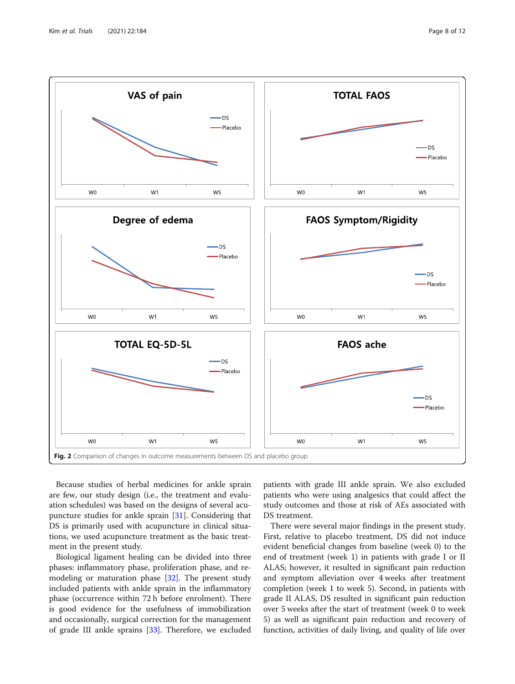<span id="page-7-0"></span>

Because studies of herbal medicines for ankle sprain are few, our study design (i.e., the treatment and evaluation schedules) was based on the designs of several acupuncture studies for ankle sprain [\[31](#page-11-0)]. Considering that DS is primarily used with acupuncture in clinical situations, we used acupuncture treatment as the basic treatment in the present study.

Biological ligament healing can be divided into three phases: inflammatory phase, proliferation phase, and remodeling or maturation phase [[32](#page-11-0)]. The present study included patients with ankle sprain in the inflammatory phase (occurrence within 72 h before enrolment). There is good evidence for the usefulness of immobilization and occasionally, surgical correction for the management of grade III ankle sprains [\[33](#page-11-0)]. Therefore, we excluded

patients with grade III ankle sprain. We also excluded patients who were using analgesics that could affect the study outcomes and those at risk of AEs associated with DS treatment.

There were several major findings in the present study. First, relative to placebo treatment, DS did not induce evident beneficial changes from baseline (week 0) to the end of treatment (week 1) in patients with grade I or II ALAS; however, it resulted in significant pain reduction and symptom alleviation over 4 weeks after treatment completion (week 1 to week 5). Second, in patients with grade II ALAS, DS resulted in significant pain reduction over 5 weeks after the start of treatment (week 0 to week 5) as well as significant pain reduction and recovery of function, activities of daily living, and quality of life over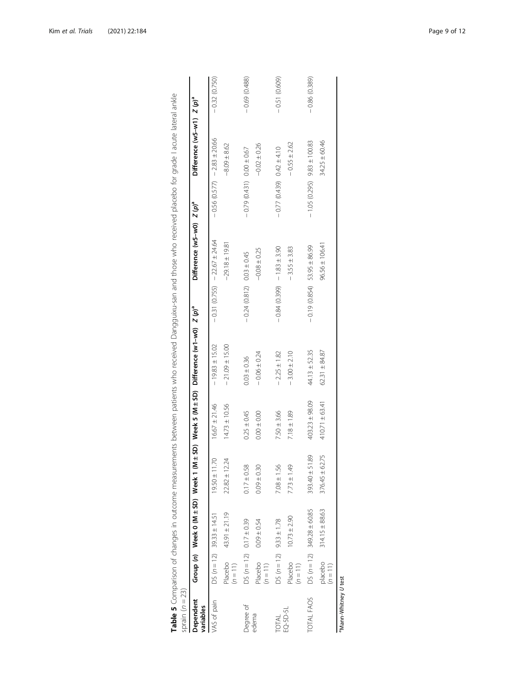<span id="page-8-0"></span>

| Dependent<br>variables |                       |                                    |                      |                    | Group (n) Week 0 (M ± SD) Week 1 (M ± SD) Week 5 (M ± SD) Difference (w1-w0) $Z$ (p) <sup>a</sup> |                                  | Difference (w5-w0) Z (p) <sup>a</sup> |                                   | Difference (w5-w1) $Z(p)^a$ |                |
|------------------------|-----------------------|------------------------------------|----------------------|--------------------|---------------------------------------------------------------------------------------------------|----------------------------------|---------------------------------------|-----------------------------------|-----------------------------|----------------|
| VAS of pain            |                       | $DS (n = 12)$ 39.33 ± 14.51        | $19.50 \pm 11.70$    | $16.67 \pm 21.46$  | $-19.83 \pm 15.02$                                                                                | $-0.31(0.755) -22.67 \pm 24.64$  |                                       | $-0.56$ (0.577) $-2.83 \pm 20.66$ |                             | $-0.32(0.750)$ |
|                        | Placebo<br>$(n = 11)$ | 43.91 ± 21.19                      | $22.82 \pm 12.24$    | $14.73 \pm 10.56$  | $-21.09 \pm 15.00$                                                                                |                                  | $-29.18 \pm 19.81$                    |                                   | $-8.09 \pm 8.62$            |                |
| Degree of              |                       | DS $(n = 12)$ 0.17 $\pm$ 0.39      | $0.17 \pm 0.58$      | $0.25 \pm 0.45$    | $0.03 \pm 0.36$                                                                                   | $-0.24$ (0.812) 0.03 ± 0.45      |                                       | $-0.79$ (0.431) 0.00 ± 0.67       |                             | $-0.69(0.488)$ |
| edema                  | Placebo<br>$(n = 11)$ | $0.09 \pm 0.54$                    | $0.09 \pm 0.30$      | $0.00 \pm 0.00$    | $-0.06 \pm 0.24$                                                                                  |                                  | $-0.08 \pm 0.25$                      |                                   | $-0.02 \pm 0.26$            |                |
| TOTAL                  |                       | $DS (n = 12)$ 9.33 ± 1.78          | $7.08 \pm 1.56$      | $7.50 \pm 3.66$    | $-2.25 \pm 1.82$                                                                                  | $-0.84$ $(0.399) -1.83 \pm 3.90$ |                                       | $-0.77(0.439)$ 0.42 ± 4.10        |                             | $-0.51(0.609)$ |
| EQ-5D-5L               | Placebo<br>$(n = 11)$ | $10.73 \pm 2.90$                   | $7.73 \pm 1.49$      | $7.18 \pm 1.89$    | $-3.00 \pm 2.10$                                                                                  |                                  | $-3.55 \pm 3.83$                      |                                   | $-0.55 \pm 2.62$            |                |
| TOTAL FAOS             |                       | DS ( $n = 12$ ) $349.28 \pm 60.85$ | 89<br>$393.40 \pm 5$ | $403.23 \pm 98.09$ | $44.13 \pm 52.35$                                                                                 | $-0.19$ (0.854) 53.95 ± 86.99    |                                       | $-1.05(0.295)$ 9.83 $\pm 100.83$  |                             | $-0.86(0.389)$ |
|                        | placebo<br>$(n = 11)$ | $314.15 \pm 88.63$                 | $376.45 \pm 62.75$   | $410.71 \pm 63.41$ | $62.31 \pm 84.87$                                                                                 |                                  | $96.56 \pm 106.41$                    |                                   | $34.25 \pm 60.46$           |                |

| $\frac{1}{2}$<br>$\stackrel{U}{\leq}$                                                                                    |                                         |
|--------------------------------------------------------------------------------------------------------------------------|-----------------------------------------|
| ֦֦֧֧֧֦֧֦֧֧֧֧֧֧֧֧֛֧֧֛֛֛֧֛֛֚֚֚֚֚֚֚֚֚֚֚֚֚֚֝֘֝֕֝֝֝֓֝֘֝֓֝֓֕֝֓֕֝֬֝֓֝֓֝֓֝֓֝֓֝֓֝֓֝֬֝֓֝֓֝֬֝֓֝֓֝֬֝֝֝֝<br>֧֧֧֧֧֧֧֧֧֧֛֧֛֛֛֛֛֚֚֚֚֝֜֜֜ |                                         |
| interactional and lobe lobe<br>j<br>;<br>ś<br>j                                                                          |                                         |
| ١<br>J<br>j                                                                                                              |                                         |
| $\frac{1}{2}$<br>j<br>$\overline{ }$<br>$\frac{1}{2}$                                                                    |                                         |
| ic + c d d =<br>١<br>į<br>j                                                                                              |                                         |
| j                                                                                                                        |                                         |
| うつう シリソーン<br>in rocaivos of<br>l<br>1                                                                                    |                                         |
|                                                                                                                          |                                         |
| I<br>؛<br>$\overline{\phantom{a}}$<br>١<br>l                                                                             |                                         |
| ₹<br>٢<br>S                                                                                                              |                                         |
| ור מרמי<br>ī<br>ξ<br>١<br>Ś                                                                                              |                                         |
| 5<br>์<br>ง<br>ו<br>ו<br>ļ<br>J                                                                                          |                                         |
| $\overline{a}$<br>l<br>ζ<br>)<br>)<br>-<br>۱                                                                             |                                         |
| )<br>)<br>-<br>ξ<br>l<br>$\zeta$<br>l                                                                                    |                                         |
| $\frac{1}{2}$                                                                                                            |                                         |
| J<br>j<br>,<br>2<br>-                                                                                                    |                                         |
| くちょう てんきゅう こうのう こうこうきょう こうしょう<br>リー・リー<br>l<br>l                                                                         |                                         |
| Ż<br>$\frac{1}{2}$                                                                                                       |                                         |
| asurement                                                                                                                |                                         |
|                                                                                                                          |                                         |
|                                                                                                                          |                                         |
| $\overline{a}$                                                                                                           |                                         |
| d<br>Ï<br>j                                                                                                              |                                         |
|                                                                                                                          |                                         |
|                                                                                                                          |                                         |
| ١<br>I                                                                                                                   | i<br>j<br>$\overline{\phantom{a}}$<br>l |
|                                                                                                                          | $\mathbf{I}$<br>:<br>į                  |
|                                                                                                                          | ļ                                       |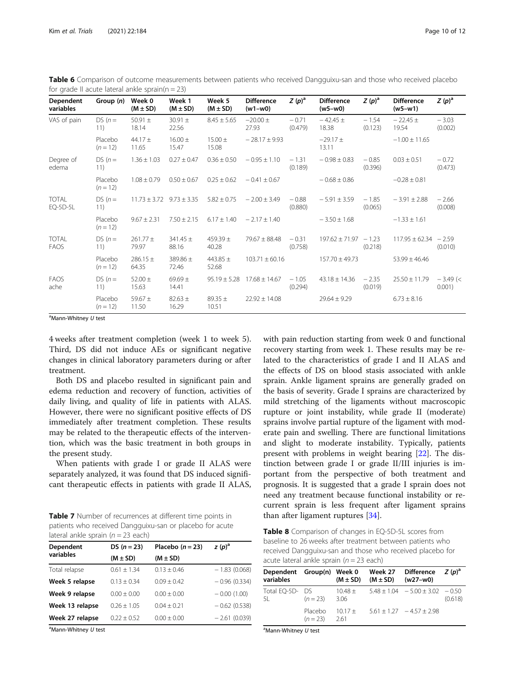| Dependent<br>variables   | Group $(n)$           | Week 0<br>$(M \pm SD)$           | Week 1<br>$(M \pm SD)$ | Week 5<br>$(M \pm SD)$ | <b>Difference</b><br>$(w1-w0)$ | $Z(p)^a$           | <b>Difference</b><br>(w5-w0) | $Z(p)^a$           | <b>Difference</b><br>$(w5-w1)$ | $Z(p)^{a}$           |
|--------------------------|-----------------------|----------------------------------|------------------------|------------------------|--------------------------------|--------------------|------------------------------|--------------------|--------------------------------|----------------------|
| VAS of pain              | $DS(n=$<br>11)        | 50.91 $\pm$<br>18.14             | $30.91 \pm$<br>22.56   | $8.45 \pm 5.65$        | $-20.00 \pm 1$<br>27.93        | $-0.71$<br>(0.479) | $-42.45 \pm$<br>18.38        | $-1.54$<br>(0.123) | $-22.45 \pm$<br>19.54          | $-3.03$<br>(0.002)   |
|                          | Placebo<br>$(n = 12)$ | 44.17 $\pm$<br>11.65             | $16.00 \pm$<br>15.47   | $15.00 \pm$<br>15.08   | $-28.17 \pm 9.93$              |                    | $-29.17 \pm$<br>13.11        |                    | $-1.00 \pm 11.65$              |                      |
| Degree of<br>edema       | $DS(n=$<br>11)        | $1.36 \pm 1.03$                  | $0.27 \pm 0.47$        | $0.36 \pm 0.50$        | $-0.95 \pm 1.10$               | $-1.31$<br>(0.189) | $-0.98 \pm 0.83$             | $-0.85$<br>(0.396) | $0.03 \pm 0.51$                | $-0.72$<br>(0.473)   |
|                          | Placebo<br>$(n = 12)$ | $1.08 + 0.79$                    | $0.50 \pm 0.67$        | $0.25 \pm 0.62$        | $-0.41 \pm 0.67$               |                    | $-0.68 \pm 0.86$             |                    | $-0.28 \pm 0.81$               |                      |
| <b>TOTAL</b><br>EQ-5D-5L | $DS(n=$<br>11)        | $11.73 \pm 3.72$ $9.73 \pm 3.35$ |                        | $5.82 \pm 0.75$        | $-2.00 \pm 3.49$               | $-0.88$<br>(0.880) | $-5.91 \pm 3.59$             | $-1.85$<br>(0.065) | $-3.91 \pm 2.88$               | $-2.66$<br>(0.008)   |
|                          | Placebo<br>$(n = 12)$ | $9.67 + 2.31$                    | $7.50 \pm 2.15$        | $6.17 \pm 1.40$        | $-2.17 \pm 1.40$               |                    | $-3.50 \pm 1.68$             |                    | $-1.33 \pm 1.61$               |                      |
| <b>TOTAL</b><br>FAOS     | $DS(n=$<br>11)        | $261.77 \pm$<br>79.97            | $341.45 \pm$<br>88.16  | $459.39 \pm$<br>40.28  | $79.67 \pm 88.48$              | $-0.31$<br>(0.758) | $197.62 \pm 71.97 - 1.23$    | (0.218)            | $117.95 \pm 62.34 - 2.59$      | (0.010)              |
|                          | Placebo<br>$(n = 12)$ | $286.15 \pm$<br>64.35            | $389.86 +$<br>72.46    | 443.85 $\pm$<br>52.68  | $103.71 \pm 60.16$             |                    | $157.70 \pm 49.73$           |                    | $53.99 \pm 46.46$              |                      |
| FAOS<br>ache             | $DS(n=$<br>11)        | 52.00 $\pm$<br>15.63             | $69.69 \pm$<br>14.41   | $95.19 \pm 5.28$       | $17.68 \pm 14.67$              | $-1.05$<br>(0.294) | $43.18 \pm 14.36$            | $-2.35$<br>(0.019) | $25.50 \pm 11.79$              | $-3.49$ (<<br>0.001) |
|                          | Placebo<br>$(n = 12)$ | 59.67 $\pm$<br>11.50             | $82.63 \pm$<br>16.29   | $89.35 \pm$<br>10.51   | $22.92 \pm 14.08$              |                    | $29.64 \pm 9.29$             |                    | $6.73 \pm 8.16$                |                      |

<span id="page-9-0"></span>Table 6 Comparison of outcome measurements between patients who received Dangguixu-san and those who received placebo for grade II acute lateral ankle sprain( $n = 23$ )

<sup>a</sup>Mann-Whitney U test

4 weeks after treatment completion (week 1 to week 5). Third, DS did not induce AEs or significant negative changes in clinical laboratory parameters during or after treatment.

Both DS and placebo resulted in significant pain and edema reduction and recovery of function, activities of daily living, and quality of life in patients with ALAS. However, there were no significant positive effects of DS immediately after treatment completion. These results may be related to the therapeutic effects of the intervention, which was the basic treatment in both groups in the present study.

When patients with grade I or grade II ALAS were separately analyzed, it was found that DS induced significant therapeutic effects in patients with grade II ALAS,

Table 7 Number of recurrences at different time points in patients who received Dangguixu-san or placebo for acute lateral ankle sprain ( $n = 23$  each)

| Dependent       | DS $(n = 23)$ | Placebo $(n=23)$ | $Z(p)^a$       |
|-----------------|---------------|------------------|----------------|
| variables       | $(M \pm SD)$  | $(M \pm SD)$     |                |
| Total relapse   | $0.61 + 1.34$ | $0.13 + 0.46$    | $-1.83(0.068)$ |
| Week 5 relapse  | $0.13 + 0.34$ | $0.09 + 0.42$    | $-0.96(0.334)$ |
| Week 9 relapse  | $0.00 + 0.00$ | $0.00 + 0.00$    | $-0.00(1.00)$  |
| Week 13 relapse | $0.26 + 1.05$ | $0.04 + 0.21$    | $-0.62(0.538)$ |
| Week 27 relapse | $0.22 + 0.52$ | $0.00 \pm 0.00$  | $-2.61(0.039)$ |

<sup>a</sup>Mann-Whitney U test

with pain reduction starting from week 0 and functional recovery starting from week 1. These results may be related to the characteristics of grade I and II ALAS and the effects of DS on blood stasis associated with ankle sprain. Ankle ligament sprains are generally graded on the basis of severity. Grade I sprains are characterized by mild stretching of the ligaments without macroscopic rupture or joint instability, while grade II (moderate) sprains involve partial rupture of the ligament with moderate pain and swelling. There are functional limitations and slight to moderate instability. Typically, patients present with problems in weight bearing [[22\]](#page-11-0). The distinction between grade I or grade II/III injuries is important from the perspective of both treatment and prognosis. It is suggested that a grade I sprain does not need any treatment because functional instability or recurrent sprain is less frequent after ligament sprains than after ligament ruptures [\[34](#page-11-0)].

Table 8 Comparison of changes in EQ-5D-5L scores from baseline to 26 weeks after treatment between patients who received Dangguixu-san and those who received placebo for acute lateral ankle sprain ( $n = 23$  each)

| Dependent Group(n) Week 0<br>variables |                          | $(M \pm SD)$        | Week 27<br>$(M \pm SD)$ | Difference $Z(p)^a$<br>$(w27-w0)$        |         |
|----------------------------------------|--------------------------|---------------------|-------------------------|------------------------------------------|---------|
| Total EO-5D- DS<br>5L                  | $(n = 23)$               | $10.48 +$<br>- 3.06 |                         | $5.48 \pm 1.04$ $-5.00 \pm 3.02$ $-0.50$ | (0.618) |
|                                        | Placebo<br>$(n=23)$ 2.61 | $1017 +$            |                         | $5.61 + 1.27 - 4.57 + 2.98$              |         |

<sup>a</sup>Mann-Whitney U test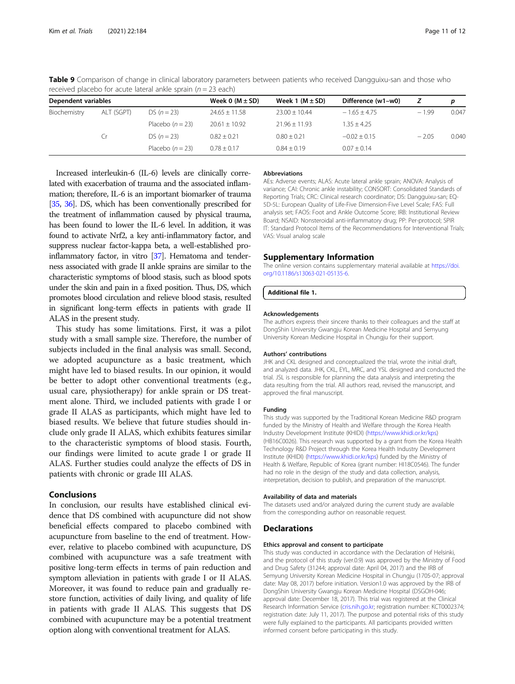| Dependent variables |            | Week 0 $(M \pm SD)$ | Week 1 $(M \pm SD)$ | Difference (w1-w0) |                | p       |       |
|---------------------|------------|---------------------|---------------------|--------------------|----------------|---------|-------|
| Biochemistry        | ALT (SGPT) | $DS (n = 23)$       | $24.65 \pm 11.58$   | $23.00 + 10.44$    | $-1.65 + 4.75$ | $-1.99$ | 0.047 |
|                     |            | Placebo $(n = 23)$  | $20.61 \pm 10.92$   | $21.96 + 11.93$    | $1.35 + 4.25$  |         |       |
|                     | . r        | $DS (n = 23)$       | $0.82 + 0.21$       | $0.80 + 0.21$      | $-0.02 + 0.15$ | $-2.05$ | 0.040 |
|                     |            | Placebo $(n = 23)$  | $0.78 + 0.17$       | $0.84 + 0.19$      | $0.07 + 0.14$  |         |       |

<span id="page-10-0"></span>Table 9 Comparison of change in clinical laboratory parameters between patients who received Dangguixu-san and those who received placebo for acute lateral ankle sprain ( $n = 23$  each)

Increased interleukin-6 (IL-6) levels are clinically correlated with exacerbation of trauma and the associated inflammation; therefore, IL-6 is an important biomarker of trauma [[35,](#page-11-0) [36\]](#page-11-0). DS, which has been conventionally prescribed for the treatment of inflammation caused by physical trauma, has been found to lower the IL-6 level. In addition, it was found to activate Nrf2, a key anti-inflammatory factor, and suppress nuclear factor-kappa beta, a well-established proinflammatory factor, in vitro [[37](#page-11-0)]. Hematoma and tenderness associated with grade II ankle sprains are similar to the characteristic symptoms of blood stasis, such as blood spots under the skin and pain in a fixed position. Thus, DS, which promotes blood circulation and relieve blood stasis, resulted in significant long-term effects in patients with grade II ALAS in the present study.

This study has some limitations. First, it was a pilot study with a small sample size. Therefore, the number of subjects included in the final analysis was small. Second, we adopted acupuncture as a basic treatment, which might have led to biased results. In our opinion, it would be better to adopt other conventional treatments (e.g., usual care, physiotherapy) for ankle sprain or DS treatment alone. Third, we included patients with grade I or grade II ALAS as participants, which might have led to biased results. We believe that future studies should include only grade II ALAS, which exhibits features similar to the characteristic symptoms of blood stasis. Fourth, our findings were limited to acute grade I or grade II ALAS. Further studies could analyze the effects of DS in patients with chronic or grade III ALAS.

# Conclusions

In conclusion, our results have established clinical evidence that DS combined with acupuncture did not show beneficial effects compared to placebo combined with acupuncture from baseline to the end of treatment. However, relative to placebo combined with acupuncture, DS combined with acupuncture was a safe treatment with positive long-term effects in terms of pain reduction and symptom alleviation in patients with grade I or II ALAS. Moreover, it was found to reduce pain and gradually restore function, activities of daily living, and quality of life in patients with grade II ALAS. This suggests that DS combined with acupuncture may be a potential treatment option along with conventional treatment for ALAS.

# Abbreviations

AEs: Adverse events; ALAS: Acute lateral ankle sprain; ANOVA: Analysis of variance; CAI: Chronic ankle instability; CONSORT: Consolidated Standards of Reporting Trials; CRC: Clinical research coordinator; DS: Dangguixu-san; EQ-5D-5L: European Quality of Life-Five Dimension-Five Level Scale; FAS: Full analysis set; FAOS: Foot and Ankle Outcome Score; IRB: Institutional Review Board; NSAID: Nonsteroidal anti-inflammatory drug; PP: Per-protocol; SPIR IT: Standard Protocol Items of the Recommendations for Interventional Trials; VAS: Visual analog scale

# Supplementary Information

The online version contains supplementary material available at [https://doi.](https://doi.org/10.1186/s13063-021-05135-6) [org/10.1186/s13063-021-05135-6.](https://doi.org/10.1186/s13063-021-05135-6)

# Additional file 1.

## Acknowledgements

The authors express their sincere thanks to their colleagues and the staff at DongShin University Gwangju Korean Medicine Hospital and Semyung University Korean Medicine Hospital in Chungju for their support.

## Authors' contributions

JHK and CKL designed and conceptualized the trial, wrote the initial draft, and analyzed data. JHK, CKL, EYL, MRC, and YSL designed and conducted the trial. JSL is responsible for planning the data analysis and interpreting the data resulting from the trial. All authors read, revised the manuscript, and approved the final manuscript.

# Funding

This study was supported by the Traditional Korean Medicine R&D program funded by the Ministry of Health and Welfare through the Korea Health Industry Development Institute (KHIDI) [\(https://www.khidi.or.kr/kps](https://www.khidi.or.kr/kps)) (HB16C0026). This research was supported by a grant from the Korea Health Technology R&D Project through the Korea Health Industry Development Institute (KHIDI) ([https://www.khidi.or.kr/kps\)](https://www.khidi.or.kr/kps) funded by the Ministry of Health & Welfare, Republic of Korea (grant number: HI18C0546). The funder had no role in the design of the study and data collection, analysis, interpretation, decision to publish, and preparation of the manuscript.

### Availability of data and materials

The datasets used and/or analyzed during the current study are available from the corresponding author on reasonable request.

# **Declarations**

# Ethics approval and consent to participate

This study was conducted in accordance with the Declaration of Helsinki, and the protocol of this study (ver.0.9) was approved by the Ministry of Food and Drug Safety (31244; approval date: April 04, 2017) and the IRB of Semyung University Korean Medicine Hospital in Chungju (1705-07; approval date: May 08, 2017) before initiation. Version1.0 was approved by the IRB of DongShin University Gwangju Korean Medicine Hospital (DSGOH-046; approval date: December 18, 2017). This trial was registered at the Clinical Research Information Service ([cris.nih.go.kr](http://cris.nih.go.kr); registration number: KCT0002374; registration date: July 11, 2017). The purpose and potential risks of this study were fully explained to the participants. All participants provided written informed consent before participating in this study.